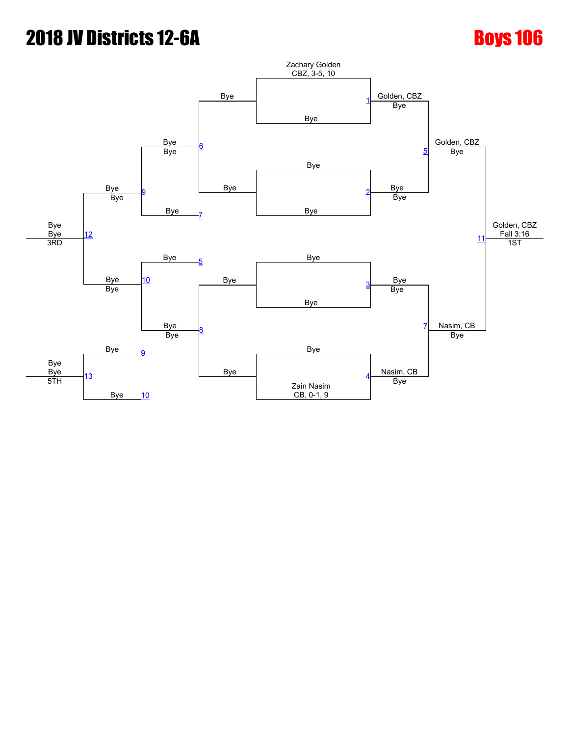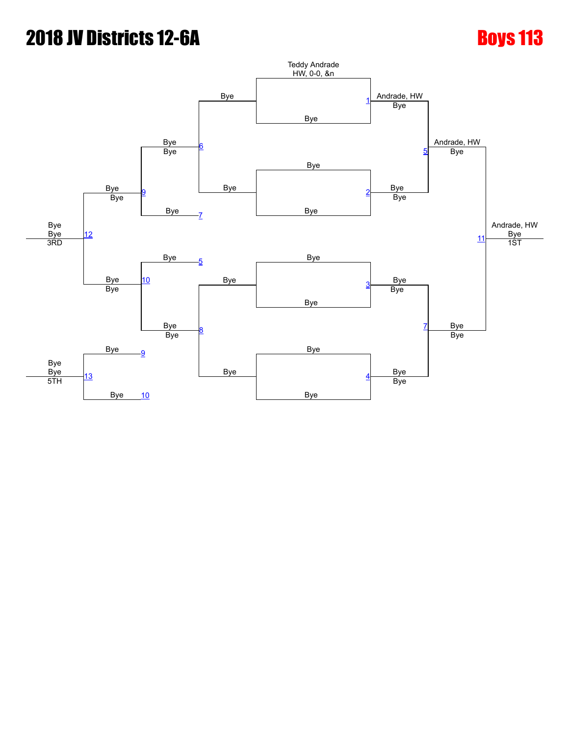### **2018 IV Districts 12-6A** Boys 113 Bye Bye Bye Bye Bye Teddy Andrade HW, 0-0, &n Andrade, HW Andrade, HW Andrade, HW **Bye** Bye <u>[1](javascript:openBoutSheet(1,)</u> [6](javascript:openBoutSheet(6,) Bye Bye Bye Bye Bye [5](javascript:openBoutSheet(5,) Bye [9](javascript:openBoutSheet(9,) Bye  $\overline{B}$  Bye 와  $12$ Bye [7](javascript:openBoutSheet(7,) Bye [11](javascript:openBoutSheet(11,) Bye <sub>B</sub> Bye 3RD Bye [5](javascript:openBoutSheet(5,) Bye | Bye | Bye 1ST  $10$ Bye <u>[3](javascript:openBoutSheet(3,)</u> Bye Bye Bye Bye [8](javascript:openBoutSheet(8,) Bye Bye **Bye** Bye a later Bye [9](javascript:openBoutSheet(9,) Bye Bye Bye [13](javascript:openBoutSheet(13,) Bye <u>[10](javascript:openBoutSheet(10,)</u> Bye [4](javascript:openBoutSheet(4,) 5TH Bye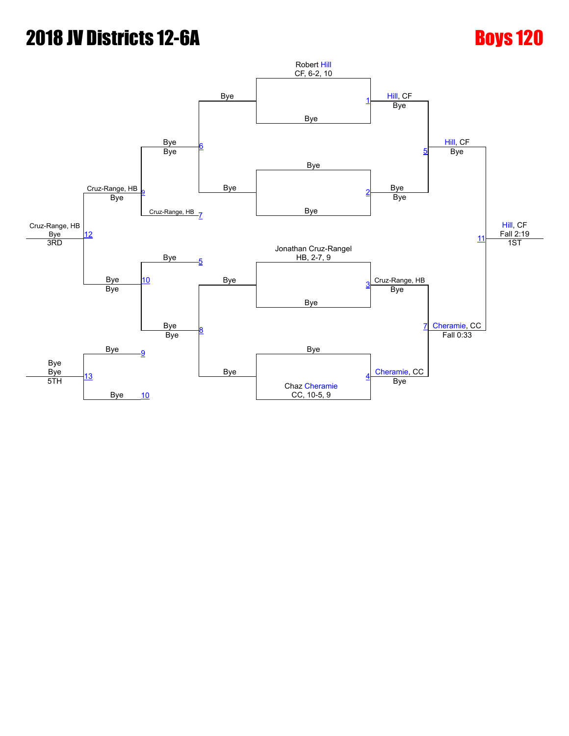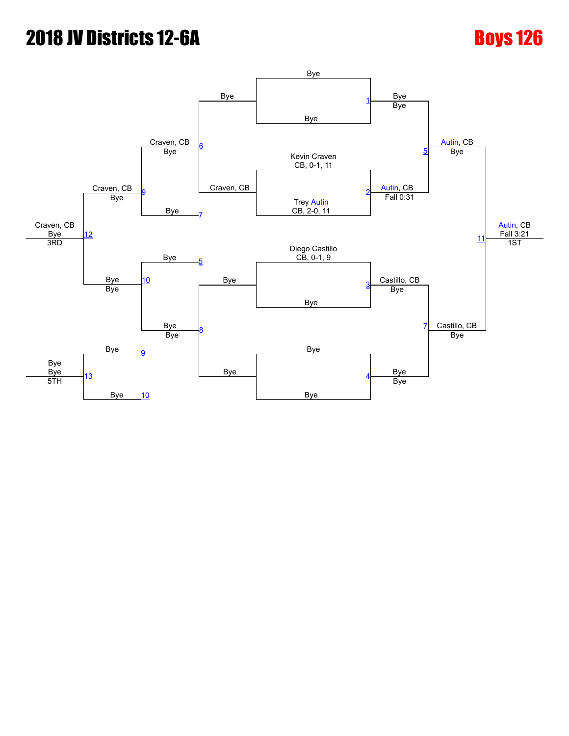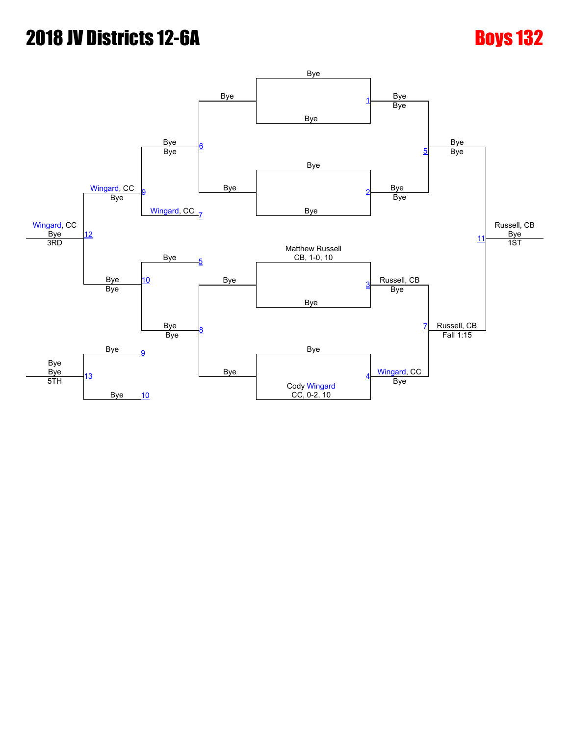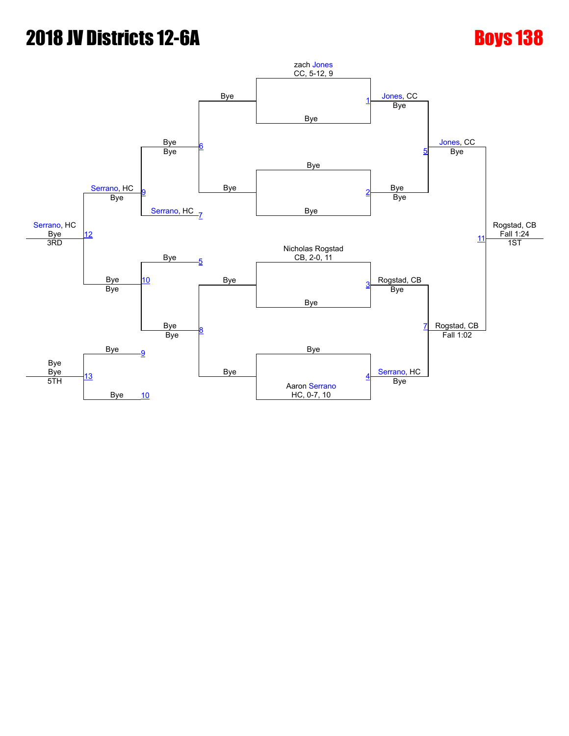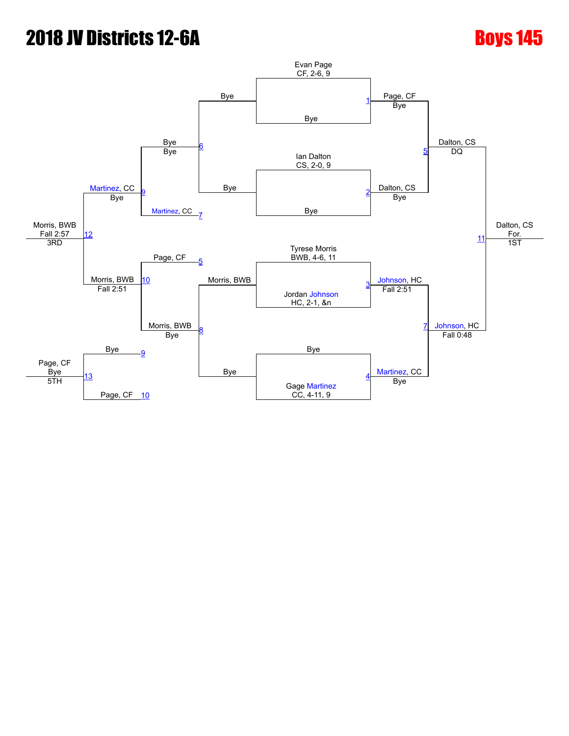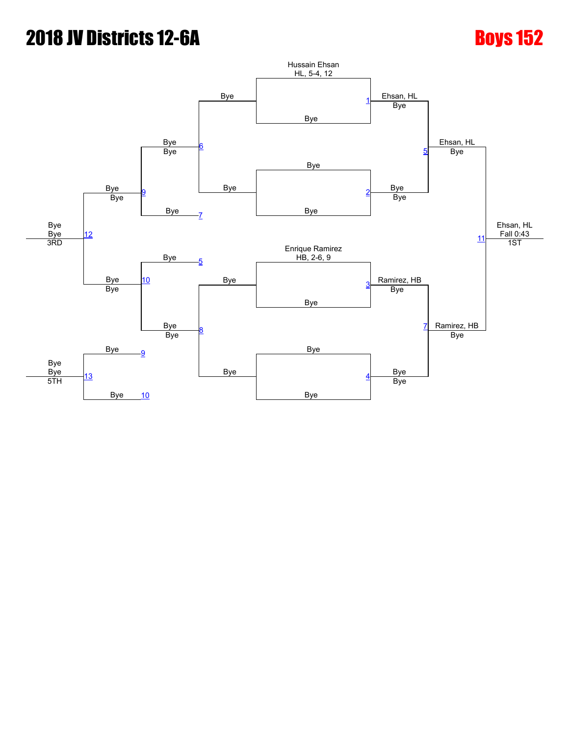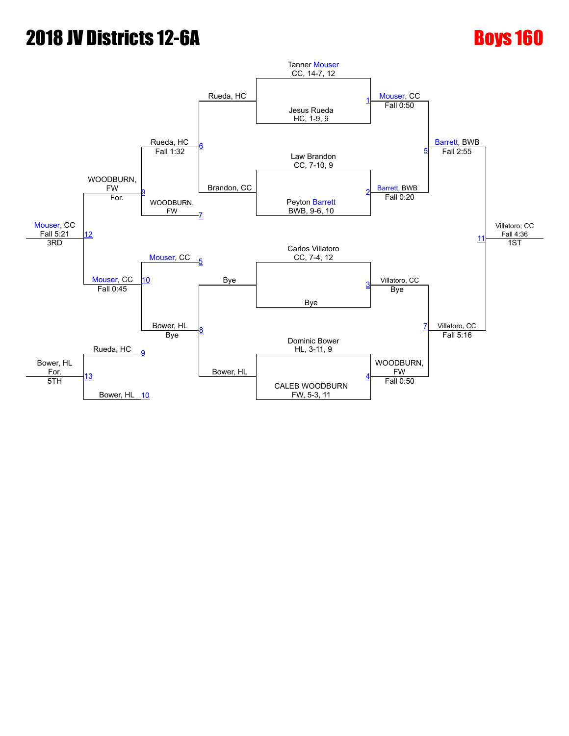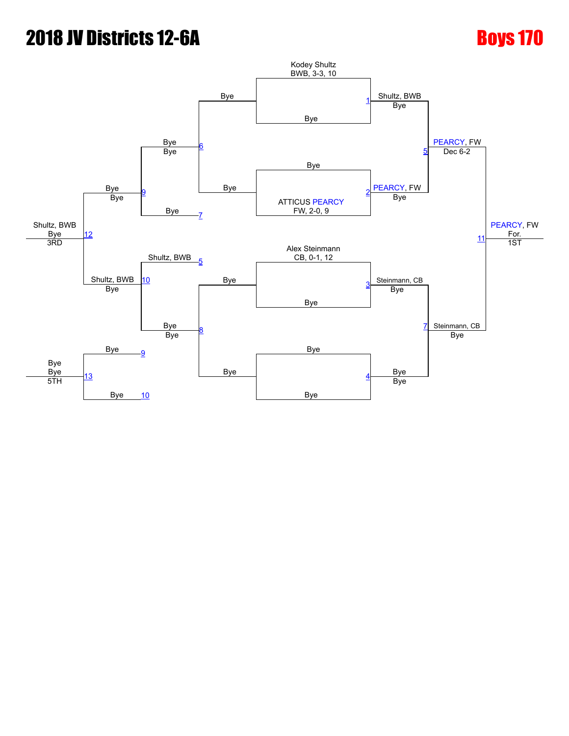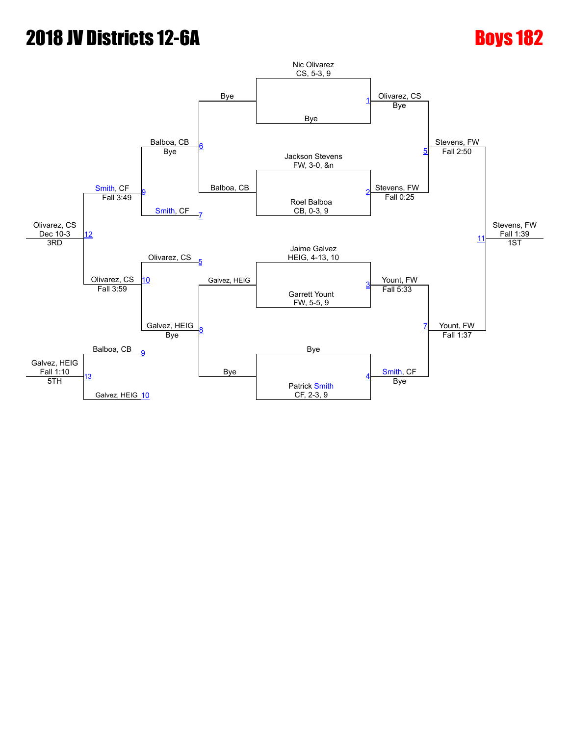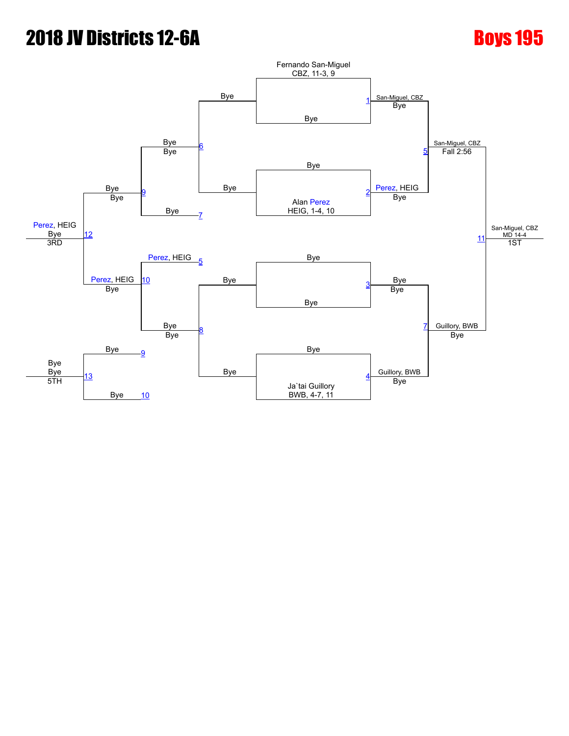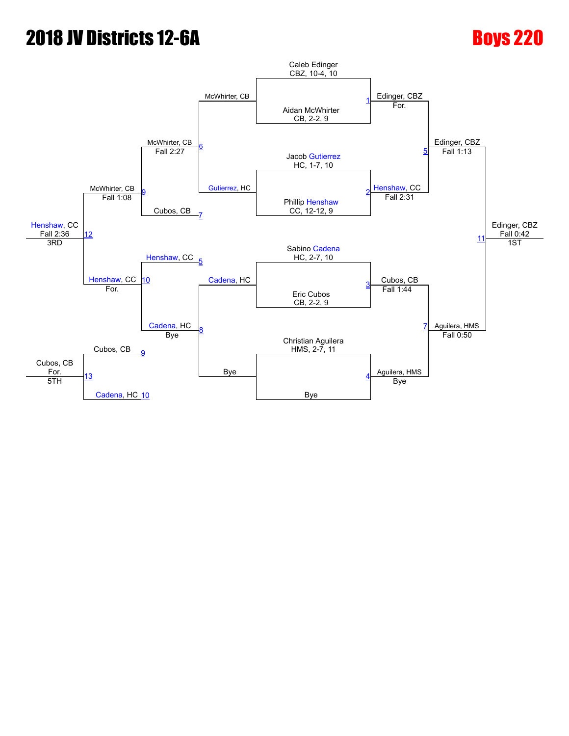